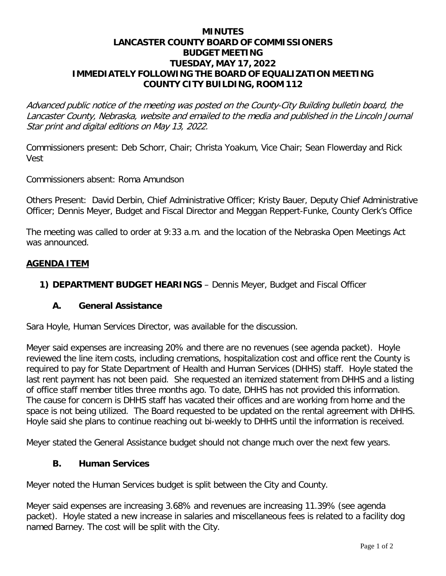#### **MINUTES LANCASTER COUNTY BOARD OF COMMISSIONERS BUDGET MEETING TUESDAY, MAY 17, 2022 IMMEDIATELY FOLLOWING THE BOARD OF EQUALIZATION MEETING COUNTY CITY BUILDING, ROOM 112**

Advanced public notice of the meeting was posted on the County-City Building bulletin board, the Lancaster County, Nebraska, website and emailed to the media and published in the Lincoln Journal Star print and digital editions on May 13, 2022.

Commissioners present: Deb Schorr, Chair; Christa Yoakum, Vice Chair; Sean Flowerday and Rick Vest

Commissioners absent: Roma Amundson

Others Present: David Derbin, Chief Administrative Officer; Kristy Bauer, Deputy Chief Administrative Officer; Dennis Meyer, Budget and Fiscal Director and Meggan Reppert-Funke, County Clerk's Office

The meeting was called to order at 9:33 a.m. and the location of the Nebraska Open Meetings Act was announced.

#### **AGENDA ITEM**

**1) DEPARTMENT BUDGET HEARINGS** – Dennis Meyer, Budget and Fiscal Officer

#### **A. General Assistance**

Sara Hoyle, Human Services Director, was available for the discussion.

Meyer said expenses are increasing 20% and there are no revenues (see agenda packet). Hoyle reviewed the line item costs, including cremations, hospitalization cost and office rent the County is required to pay for State Department of Health and Human Services (DHHS) staff. Hoyle stated the last rent payment has not been paid. She requested an itemized statement from DHHS and a listing of office staff member titles three months ago. To date, DHHS has not provided this information. The cause for concern is DHHS staff has vacated their offices and are working from home and the space is not being utilized. The Board requested to be updated on the rental agreement with DHHS. Hoyle said she plans to continue reaching out bi-weekly to DHHS until the information is received.

Meyer stated the General Assistance budget should not change much over the next few years.

#### **B. Human Services**

Meyer noted the Human Services budget is split between the City and County.

Meyer said expenses are increasing 3.68% and revenues are increasing 11.39% (see agenda packet). Hoyle stated a new increase in salaries and miscellaneous fees is related to a facility dog named Barney. The cost will be split with the City.